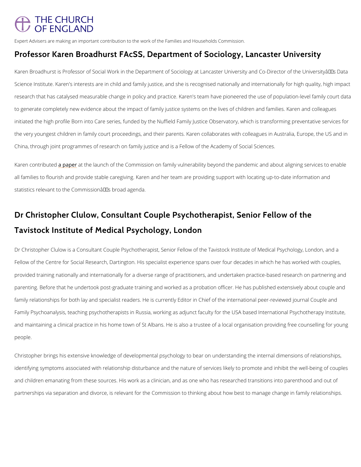## THE CHURCH OF FNGI AND

Expert Advisers are making an important contribution to the work of the Families and Households Commi Professor Karen Broadhurst FAcSS, Department of Soci

Karen Broadhurst is Professor of Social Work in the Department of Sociology at Lancaster Un Science Institute. Karen's interests are in child and family justice, and she is recognised na research that has catalysed measurable change in policy and practice. Karen's team have pio to generate completely new evidence about the impact of family justice systems on the lives initiated the high profile Born into Care series, funded by the Nuffield Family Justice Observ the very youngest children in family court proceedings, and their parents. Karen collaborates China, through joint programmes of research on family justice and is a Fellow of the Academ

Karen contribut unten and the launch of the Commission on family vulnerability beyond the pandem all families to flourish and provide stable caregiving. Karen and her team are providing supp statistics relevant to the Commission $\hat{a} \in \mathbb{M}$ s broad agenda.

# Dr Christopher Clulow, Consultant Couple Psychotherap Tavistock Institute of Medical Psychology, London

Dr Christopher Clulow is a Consultant Couple Psychotherapist, Senior Fellow of the Tavistoc Fellow of the Centre for Social Research, Dartington. His specialist experience spans over four provided training nationally and internationally for a diverse range of practitioners, and unde parenting. Before that he undertook post-graduate training and worked as a probation officer family relationships for both lay and specialist readers. He is currently Editor in Chief of the Family Psychoanalysis, teaching psychotherapists in Russia, working as adjunct faculty for t and maintaining a clinical practice in his home town of St Albans. He is also a trustee of a local organisation people.

Christopher brings his extensive knowledge of developmental psychology to bear on understa

identifying symptoms associated with relationship disturbance and the nature of services like

and children emanating from these sources. His work as a clinician, and as one who has rese

partnerships via separation and divorce, is relevant for the Commission to thinking about how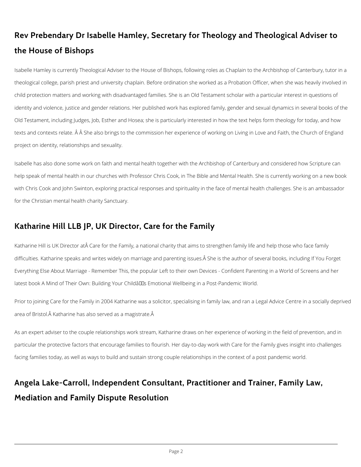# **Rev Prebendary Dr Isabelle Hamley, Secretary for Theology and Theological Adviser to the House of Bishops**

Isabelle Hamley is currently Theological Adviser to the House of Bishops, following roles as Chaplain to the Archbishop of Canterbury, tutor in a theological college, parish priest and university chaplain. Before ordination she worked as a Probation Officer, when she was heavily involved in child protection matters and working with disadvantaged families. She is an Old Testament scholar with a particular interest in questions of identity and violence, justice and gender relations. Her published work has explored family, gender and sexual dynamics in several books of the Old Testament, including Judges, Job, Esther and Hosea; she is particularly interested in how the text helps form theology for today, and how texts and contexts relate. Â Â She also brings to the commission her experience of working on Living in Love and Faith, the Church of England project on identity, relationships and sexuality.

Prior to joining Care for the Family in 2004 Katharine was a solicitor, specialising in family law, and ran a Legal Advice Centre in a socially deprived area of Bristol. Â Katharine has also served as a magistrate. Â

Isabelle has also done some work on faith and mental health together with the Archbishop of Canterbury and considered how Scripture can help speak of mental health in our churches with Professor Chris Cook, in The Bible and Mental Health. She is currently working on a new book with Chris Cook and John Swinton, exploring practical responses and spirituality in the face of mental health challenges. She is an ambassador for the Christian mental health charity Sanctuary.

#### **Katharine Hill LLB JP, UK Director, Care for the Family**

Katharine Hill is UK Director at Care for the Family, a national charity that aims to strengthen family life and help those who face family difficulties. Katharine speaks and writes widely on marriage and parenting issues. She is the author of several books, including If You Forget Everything Else About Marriage - Remember This, the popular Left to their own Devices - Confident Parenting in a World of Screens and her latest book A Mind of Their Own: Building Your Childâll Emotional Wellbeing in a Post-Pandemic World.

As an expert adviser to the couple relationships work stream, Katharine draws on her experience of working in the field of prevention, and in particular the protective factors that encourage families to flourish. Her day-to-day work with Care for the Family gives insight into challenges

facing families today, as well as ways to build and sustain strong couple relationships in the context of a post pandemic world.

# **Angela Lake-Carroll, Independent Consultant, Practitioner and Trainer, Family Law,**

## **Mediation and Family Dispute Resolution**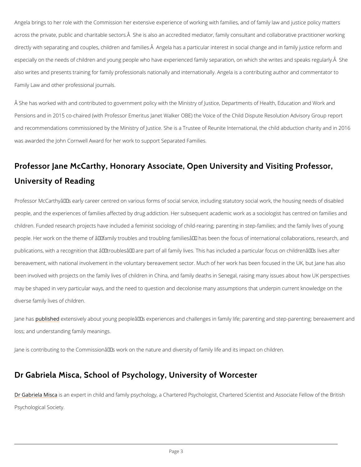Angela brings to her role with the Commission her extensive experience of working with fami across the private, public and charitable sectors. A She is also an accredited mediator, fami directly with separating and couples, children and families.Ä Angela has a particular interes especially on the needs of children and young people who have experienced family separatio also writes and presents training for family professionals nationally and internationally. Ang Family Law and other professional journals.

 $\hat{\sf A}$  She has worked with and contributed to government policy with the Ministry of Justice, Dep Pensions and in 2015 co-chaired (with Professor Emeritus Janet Walker OBE) the Voice of th and recommendations commissioned by the Ministry of Justice. She is a Trustee of Reunite In was awarded the John Cornwell Award for her work to support Separated Families.

# Professor Jane McCarthy, Honorary Associate, Open Un University of Reading

Professor McCarthy's early career centred on various forms of social service, including s people, and the experiences of families affected by drug addiction. Her subsequent academic children. Funded research projects have included a feminist sociology of child-rearing; parentiag people. Her work on the theme of  $\hat{\mathbf{a}} \in \hat{\mathbf{a}}$  family troubles and troubling families $\hat{\mathbf{a}} \in \mathbb{M}$  has been the publications, with a recognition that  $\hat{\mathbf{a}} \in \tilde{\mathbf{a}}$  are particular and family lives. This has ine bereavement, with national involvement in the voluntary bereavement sector. Much of her wo been involved with projects on the family lives of children in China, and family deaths in Ser may be shaped in very particular ways, and the need to question and decolonise many assum diverse family lives of children.

Jane hamblished tensively about young people's experiences and challenges in family life; loss; and understanding family meanings.

Jane is contributing to the Commissionâ $\in$   $\mathbb{T}^{\mathsf{M}}$ s work on the nature and diversity of family life a

# Dr Gabriela Misca, School of Psychology, University of

[Dr Gabriela](https://www.worcester.ac.uk/about/profiles/dr-gabriela-misca) Msisama expert in child and family psychology, a Chartered Psychologist, Chartered

Psychological Society.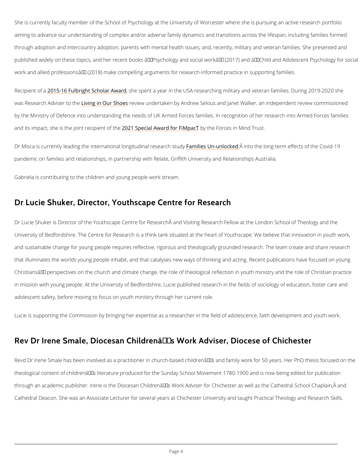She is currently faculty member of the School of Psychology at the University of Worcester w aiming to advance our understanding of complex and/or adverse family dynamics and transiti through adoption and intercountry adoption; parents with mental health issues; and, recently published widely on these topics, and her recent books  $\hat{a} \in \mathfrak{S}$  exchology and social work $\hat{a} \in \bullet$  (2 work and allied professions― (2018) make compelling arguments for research-informed prac

Recipient 2015-16 Fulbright Schoshe Awand a year in the USA researching military and veteran was Research Adv**Lsernto ith Our Selvoew** undertaken by Andrew Selous and Janet Walker, an inc by the Ministry of Defence into understanding the needs of UK Armed Forces families. In rec and its impact, she is the joi<mark>ø02 & cSppieecnitalo fA whaerd fobry FtihMep ho Trces in Mind Trust.</mark>

Dr Misca is currently leading the international Flaommin glituded ill making the longing-term effects of the Lo pandemic on families and relationships, in partnership with Relate, Griffith University and Re Gabriela is contributing to the children and young people work stream.

#### Dr Lucie Shuker, Director, Youthscape Centre for Rese

Dr Lucie Shuker is Director of the Youthscape Centre for Research and Visiting Research F University of Bedfordshire. The Centre for Research is a think tank situated at the heart of Youthscape. and sustainable change for young people requires reflective, rigorous and theologically grou that illuminates the worlds young people inhabit, and that catalyses new ways of thinking an Christians $\hat{\mathbf{a}} \in \mathbb{M}$  perspectives on the church and climate change, the role of theological reflect in mission with young people. At the University of Bedfordshire, Lucie published research in adolescent safety, before moving to focus on youth ministry through her current role.

Lucie is supporting the Commission by bringing her expertise as a researcher in the field of

Rev Dr Irene Smale, Diocesan Children's Work Advi

Revd Dr Irene Smale has been involved as a practitioner in church-based children's and f

theological content of children $\hat{\mathbf{a}} \in \texttt{TMs}$  literature produced for the Sunday School Movement 178

through an academic publisher. Irene is the Diocesan Children's Work Adviser for Chiche

Cathedral Deacon. She was an Associate Lecturer for several years at Chichester University